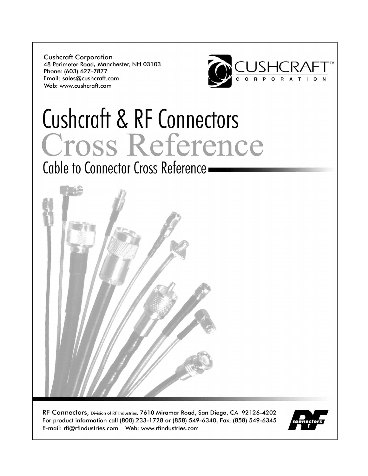**Cushcraft Corporation** 48 Perimeter Road, Manchester, NH 03103 Phone: (603) 627-7877 Email: sales@cushcraft.com Web: www.cushcraft.com



# **Cushcraft & RF Connectors** Cross Reference

Cable to Connector Cross Reference -



RF Connectors, Division of RF Industries, 7610 Miramar Road, San Diego, CA 92126-4202 For product information call (800) 233-1728 or (858) 549-6340, Fax: (858) 549-6345 

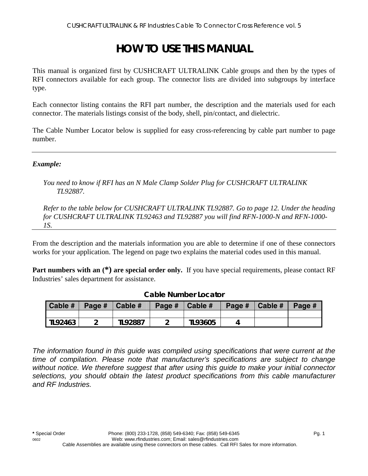# **HOW TO USE THIS MANUAL**

This manual is organized first by CUSHCRAFT ULTRALINK Cable groups and then by the types of RFI connectors available for each group. The connector lists are divided into subgroups by interface type.

Each connector listing contains the RFI part number, the description and the materials used for each connector. The materials listings consist of the body, shell, pin/contact, and dielectric.

The Cable Number Locator below is supplied for easy cross-referencing by cable part number to page number.

#### *Example:*

*You need to know if RFI has an N Male Clamp Solder Plug for CUSHCRAFT ULTRALINK TL92887.* 

*Refer to the table below for CUSHCRAFT ULTRALINK TL92887. Go to page 12. Under the heading for CUSHCRAFT ULTRALINK TL92463 and TL92887 you will find RFN-1000-N and RFN-1000- 1S.* 

From the description and the materials information you are able to determine if one of these connectors works for your application. The legend on page two explains the material codes used in this manual.

**Part numbers with an**  $(*)$  **are special order only.** If you have special requirements, please contact RF Industries' sales department for assistance.

| Cable # | Page $\#$   Cable $\#$ |                | Page # | Cable # | Page $\#$   Cable $\#$ | Page # |
|---------|------------------------|----------------|--------|---------|------------------------|--------|
|         |                        |                |        |         |                        |        |
| TL92463 |                        | <b>TL92887</b> |        | TL93605 |                        |        |

#### **Cable Number Locator**

*The information found in this guide was compiled using specifications that were current at the time of compilation. Please note that manufacturer's specifications are subject to change without notice. We therefore suggest that after using this guide to make your initial connector selections, you should obtain the latest product specifications from this cable manufacturer and RF Industries.*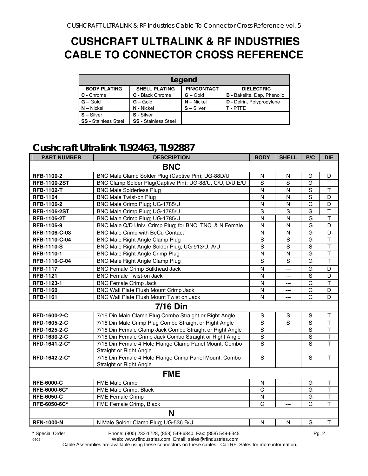## **CUSHCRAFT ULTRALINK & RF INDUSTRIES CABLE TO CONNECTOR CROSS REFERENCE**

|                             | Legend                      |                    |                                    |  |  |  |  |
|-----------------------------|-----------------------------|--------------------|------------------------------------|--|--|--|--|
| <b>BODY PLATING</b>         | <b>SHELL PLATING</b>        | <b>PIN/CONTACT</b> | <b>DIELECTRIC</b>                  |  |  |  |  |
| C - Chrome                  | C - Black Chrome            | $G -$ Gold         | <b>B</b> - Bakelite, Dap, Phenolic |  |  |  |  |
| $G - Gold$                  | $G - Gold$                  | $N -$ Nickel       | <b>D</b> - Delrin, Polypropylene   |  |  |  |  |
| $N - Nickel$                | N - Nickel                  | $S - Silver$       | T-PTFE                             |  |  |  |  |
| $S - Silver$                | S - Silver                  |                    |                                    |  |  |  |  |
| <b>SS - Stainless Steel</b> | <b>SS - Stainless Steel</b> |                    |                                    |  |  |  |  |

### **Cushcraft Ultralink TL92463, TL92887**

| <b>PART NUMBER</b>  | <b>DESCRIPTION</b>                                                                | <b>BODY</b>    | <b>SHELL</b>   | P/C            | <b>DIE</b>              |
|---------------------|-----------------------------------------------------------------------------------|----------------|----------------|----------------|-------------------------|
|                     | <b>BNC</b>                                                                        |                |                |                |                         |
| RFB-1100-2          | BNC Male Clamp Solder Plug (Captive Pin); UG-88D/U                                | N              | N              | G              | D                       |
| <b>RFB-1100-2ST</b> | BNC Clamp Solder Plug(Captive Pin); UG-88/U, C/U, D/U, E/U                        | S              | S              | G              | T                       |
| <b>RFB-1102-T</b>   | <b>BNC Male Solderless Plug</b>                                                   | $\mathsf{N}$   | N              | $\mathbf S$    | $\mathsf T$             |
| <b>RFB-1104</b>     | <b>BNC Male Twist-on Plug</b>                                                     | N              | N              | S              | D                       |
| RFB-1106-2          | BNC Male Crimp Plug; UG-1785/U                                                    | N              | N              | G              | D                       |
| <b>RFB-1106-2ST</b> | BNC Male Crimp Plug; UG-1785/U                                                    | S              | S              | G              | $\mathsf{T}$            |
| <b>RFB-1106-2T</b>  | BNC Male Crimp Plug; UG-1785/U                                                    | N              | N              | G              | $\mathsf T$             |
| RFB-1106-9          | BNC Male Q/D Univ. Crimp Plug; for BNC, TNC, & N Female                           | N              | N              | G              | D                       |
| RFB-1106-C-03       | BNC Male Crimp with BeCu Contact                                                  | N              | $\mathsf{N}$   | G              | D                       |
| RFB-1110-C-04       | <b>BNC Male Right Angle Clamp Plug</b>                                            | $\mathbf S$    | $\mathbf S$    | G              | $\top$                  |
| <b>RFB-1110-S</b>   | BNC Male Right Angle Solder Plug; UG-913/U, A/U                                   | S              | S              | $\mathbf S$    | $\mathsf{T}$            |
| <b>RFB-1110-1</b>   | BNC Male Right Angle Crimp Plug                                                   | N              | N              | G              | $\mathsf T$             |
| RFB-1110-C-04       | <b>BNC Male Right Angle Clamp Plug</b>                                            | S              | S              | G              | $\overline{1}$          |
| <b>RFB-1117</b>     | <b>BNC Female Crimp Bulkhead Jack</b>                                             | N              | ---            | G              | D                       |
| <b>RFB-1121</b>     | <b>BNC Female Twist-on Jack</b>                                                   | N              | ---            | S              | D                       |
| RFB-1123-1          | <b>BNC Female Crimp Jack</b>                                                      | N              | $\overline{a}$ | G              | $\mathsf T$             |
| <b>RFB-1160</b>     | BNC Wall Plate Flush Mount Crimp Jack                                             | $\mathsf{N}$   | ---            | G              | D                       |
| <b>RFB-1161</b>     | BNC Wall Plate Flush Mount Twist on Jack                                          | N              | ---            | G              | D                       |
|                     | <b>7/16 Din</b>                                                                   |                |                |                |                         |
| RFD-1600-2-C        | 7/16 Din Male Clamp Plug Combo Straight or Right Angle                            | $\mathbf S$    | S              | $\mathbb S$    | $\top$                  |
| RFD-1605-2-C        | 7/16 Din Male Crimp Plug Combo Straight or Right Angle                            | $\overline{s}$ | S              | $\overline{s}$ | $\overline{\mathsf{T}}$ |
| RFD-1625-2-C        | 7/16 Din Female Clamp Jack Combo Straight or Right Angle                          | S              | $---$          | $\overline{s}$ | $\mathsf T$             |
| RFD-1630-2-C        | 7/16 Din Female Crimp Jack Combo Straight or Right Angle                          | $\mathbf S$    | ---            | $\mathbf S$    | $\overline{\mathsf{T}}$ |
| RFD-1641-2-C*       | 7/16 Din Female 4-Hole Flange Clamp Panel Mount, Combo<br>Straight or Right Angle | S              | $---$          | S              | $\overline{\mathsf{T}}$ |
| RFD-1642-2-C*       | 7/16 Din Female 4-Hole Flange Crimp Panel Mount, Combo<br>Straight or Right Angle | $\mathbf S$    | ---            | S              | $\mathsf{T}$            |
|                     | <b>FME</b>                                                                        |                |                |                |                         |
| <b>RFE-6000-C</b>   | FME Male Crimp                                                                    | N              | $---$          | G              | $\top$                  |
| RFE-6000-6C*        | FME Male Crimp, Black                                                             | $\mathsf{C}$   | ---            | G              | $\mathsf{T}$            |
| <b>RFE-6050-C</b>   | <b>FME Female Crimp</b>                                                           | $\mathsf{N}$   | ---            | G              | $\mathsf T$             |
| RFE-6050-6C*        | FME Female Crimp, Black                                                           | $\overline{C}$ | ---            | G              | $\overline{\mathsf{T}}$ |
|                     | N                                                                                 |                |                |                |                         |
| <b>RFN-1000-N</b>   | N Male Solder Clamp Plug; UG-536 B/U                                              | $\mathsf{N}$   | N              | G              | T                       |

**\*** Special Order Phone: (800) 233-1728, (858) 549-6340; Fax: (858) 549-6345 Pg. 2

0602 Web: www.rfindustries.com; Email: sales@rfindustries.com

Cable Assemblies are available using these connectors on these cables. Call RFI Sales for more information.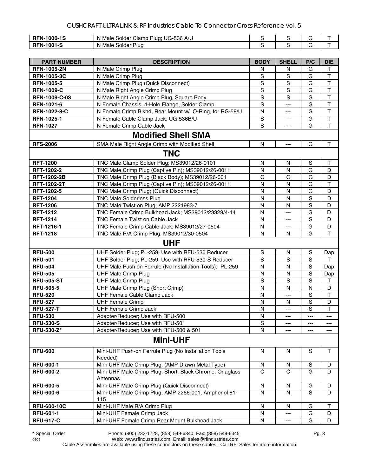| <b>RFN-1000-1S</b> | : UG-536 A/U<br>N Male Solder Clamp Plug; \ |  |  |
|--------------------|---------------------------------------------|--|--|
| <b>RFN-1001-S</b>  | <b>Solder Plug</b><br>Male<br>N             |  |  |

| <b>PART NUMBER</b> | <b>DESCRIPTION</b>                                                  | <b>BODY</b>  | <b>SHELL</b>             | P/C            | <b>DIE</b>              |  |
|--------------------|---------------------------------------------------------------------|--------------|--------------------------|----------------|-------------------------|--|
| <b>RFN-1005-2N</b> | N Male Crimp Plug                                                   | N            | N                        | G              | Τ                       |  |
| <b>RFN-1005-3C</b> | N Male Crimp Plug                                                   | S            | $\mathsf S$              | G              | $\overline{\mathsf{T}}$ |  |
| <b>RFN-1005-5</b>  | N Male Crimp Plug (Quick Disconnect)                                | S            | S                        | G              | T                       |  |
| <b>RFN-1009-C</b>  | N Male Right Angle Crimp Plug                                       | S            | S                        | G              | $\top$                  |  |
| RFN-1009-C-03      | N Male Right Angle Crimp Plug, Square Body                          | S            | S                        | G              | $\overline{\mathsf{T}}$ |  |
| RFN-1021-6         | N Female Chassis, 4-Hole Flange, Solder Clamp                       | S            | $---$                    | G              | $\mathsf T$             |  |
| RFN-1022-8-C       | N Female Crimp Blkhd, Rear Mount w/ O-Ring, for RG-58/U             | N            | ---                      | G              | $\top$                  |  |
| RFN-1025-1         | N Female Cable Clamp Jack; UG-536B/U                                | S            | ---                      | G              | T                       |  |
| <b>RFN-1027</b>    | N Female Crimp Cable Jack                                           | S            | ---                      | G              | T                       |  |
|                    | <b>Modified Shell SMA</b>                                           |              |                          |                |                         |  |
| <b>RFS-2006</b>    | SMA Male Right Angle Crimp with Modified Shell                      | N            | ---                      | G              | $\mathsf T$             |  |
| <b>TNC</b>         |                                                                     |              |                          |                |                         |  |
| <b>RFT-1200</b>    | TNC Male Clamp Solder Plug; MS39012/26-0101                         | N            | N                        | S              | т                       |  |
| RFT-1202-2         | TNC Male Crimp Plug (Captive Pin); MS39012/26-0011                  | $\mathsf{N}$ | $\mathsf{N}$             | G              | D                       |  |
| <b>RFT-1202-2B</b> | TNC Male Crimp Plug (Black Body); MS39012/26-001                    | $\mathsf{C}$ | $\mathsf{C}$             | G              | D                       |  |
| <b>RFT-1202-2T</b> | TNC Male Crimp Plug (Captive Pin); MS39012/26-0011                  | N            | N                        | G              | $\top$                  |  |
| RFT-1202-5         | TNC Male Crimp Plug; (Quick Disconnect)                             | N            | $\mathsf{N}$             | G              | D                       |  |
| <b>RFT-1204</b>    | <b>TNC Male Solderless Plug</b>                                     | N            | N                        | $\mathbf S$    | D                       |  |
| <b>RFT-1206</b>    | TNC Male Twist on Plug; AMP 2221983-7                               | N            | N                        | S              | D                       |  |
| <b>RFT-1212</b>    | TNC Female Crimp Bulkhead Jack; MS39012/23329/4-14                  | N            | ---                      | G              | D                       |  |
| <b>RFT-1214</b>    | TNC Female Twist on Cable Jack                                      | N            | ---                      | $\mathbf S$    | D                       |  |
| RFT-1216-1         | TNC Female Crimp Cable Jack; MS39012/27-0504                        | N            | ---                      | G              | D                       |  |
| <b>RFT-1218</b>    | TNC Male R/A Crimp Plug; MS39012/30-0504                            | $\mathsf{N}$ | N                        | G              | T                       |  |
|                    | <b>UHF</b>                                                          |              |                          |                |                         |  |
| <b>RFU-500</b>     | UHF Solder Plug; PL-259; Use with RFU-530 Reducer                   | $\mathsf S$  | N                        | $\mathbf S$    | Dap                     |  |
| <b>RFU-501</b>     | UHF Solder Plug; PL-259; Use with RFU-530-S Reducer                 | S            | S                        | S              | т                       |  |
| <b>RFU-504</b>     | UHF Male Push on Ferrule (No Installation Tools); PL-259            | N            | N                        | ${\mathsf S}$  | Dap                     |  |
| <b>RFU-505</b>     | <b>UHF Male Crimp Plug</b>                                          | $\mathsf{N}$ | $\mathsf{N}$             | $\mathbf S$    | Dap                     |  |
| <b>RFU-505-ST</b>  | <b>UHF Male Crimp Plug</b>                                          | S            | S                        | S              | T                       |  |
| <b>RFU-505-5</b>   | UHF Male Crimp Plug (Short Crimp)                                   | $\mathsf{N}$ | $\mathsf{N}$             | N              | D                       |  |
| <b>RFU-520</b>     | UHF Female Cable Clamp Jack                                         | N            | ---                      | $\mathbf S$    | $\top$                  |  |
| <b>RFU-527</b>     | <b>UHF Female Crimp</b>                                             | N            | N                        | $\overline{s}$ | D                       |  |
| <b>RFU-527-T</b>   | <b>UHF Female Crimp Jack</b>                                        | N            | $\overline{a}$           | S              | $\top$                  |  |
| <b>RFU-530</b>     | Adapter/Reducer; Use with RFU-500                                   | N            | ---                      | ---            | ---                     |  |
| <b>RFU-530-S</b>   | Adapter/Reducer; Use with RFU-501                                   | S            | ---                      | ---            | ---                     |  |
| <b>RFU-530-Z*</b>  | Adapter/Reducer; Use with RFU-500 & 501                             | N            | ---                      | ---            | ---                     |  |
|                    | <b>Mini-UHF</b>                                                     |              |                          |                |                         |  |
| <b>RFU-600</b>     | Mini-UHF Push-on Ferrule Plug (No Installation Tools                | N            | $\mathsf{N}$             | S              | T                       |  |
|                    | Needed)                                                             |              |                          |                |                         |  |
| <b>RFU-600-1</b>   | Mini-UHF Male Crimp Plug; (AMP Drawn Metal Type)                    | ${\sf N}$    | N                        | $\mathsf S$    | D                       |  |
| <b>RFU-600-2</b>   | Mini-UHF Male Crimp Plug, Short, Black Chrome; Onaglass<br>Antennas | $\mathsf{C}$ | $\mathsf{C}$             | G              | D                       |  |
| <b>RFU-600-5</b>   | Mini-UHF Male Crimp Plug (Quick Disconnect)                         | N            | ${\sf N}$                | G              | D                       |  |
| <b>RFU-600-6</b>   | Mini-UHF Male Crimp Plug; AMP 2266-001, Amphenol 81-<br>115         | $\mathsf{N}$ | N                        | S              | D                       |  |
| <b>RFU-600-10C</b> | Mini-UHF Male R/A Crimp Plug                                        | N            | N.                       | G              | Τ                       |  |
| <b>RFU-601-1</b>   | Mini-UHF Female Crimp Jack                                          | N            | ---                      | G              | D                       |  |
| <b>RFU-617-C</b>   | Mini-UHF Female Crimp Rear Mount Bulkhead Jack                      | N            | $\hspace{0.05cm} \ldots$ | G              | D                       |  |

0602 Web: www.rfindustries.com; Email: sales@rfindustries.com Cable Assemblies are available using these connectors on these cables. Call RFI Sales for more information.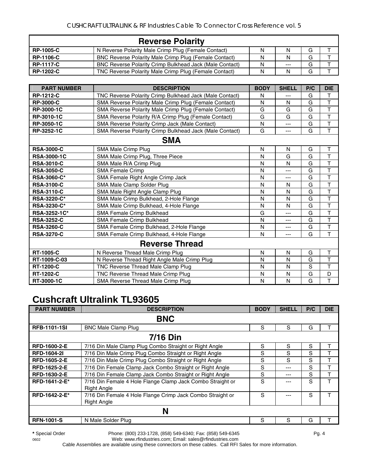| <b>Reverse Polarity</b> |                                                         |   |       |   |  |
|-------------------------|---------------------------------------------------------|---|-------|---|--|
| <b>RP-1005-C</b>        | N Reverse Polarity Male Crimp Plug (Female Contact)     | N | N     | G |  |
| <b>RP-1106-C</b>        | BNC Reverse Polarity Male Crimp Plug (Female Contact)   | N | N     | G |  |
| <b>RP-1117-C</b>        | BNC Reverse Polarity Crimp Bulkhead Jack (Male Contact) | N | $---$ | G |  |
| <b>RP-1202-C</b>        | TNC Reverse Polarity Male Crimp Plug (Female Contact)   | N | N     | G |  |

| <b>PART NUMBER</b> | <b>DESCRIPTION</b>                                      | <b>BODY</b> | <b>SHELL</b> | P/C | <b>DIE</b>              |  |  |
|--------------------|---------------------------------------------------------|-------------|--------------|-----|-------------------------|--|--|
| <b>RP-1212-C</b>   | TNC Reverse Polarity Crimp Bulkhead Jack (Male Contact) | N           |              | G   | T                       |  |  |
| <b>RP-3000-C</b>   | SMA Reverse Polarity Male Crimp Plug (Female Contact)   | N           | N            | G   | T                       |  |  |
| RP-3000-1C         | SMA Reverse Polarity Male Crimp Plug (Female Contact)   | G           | G            | G   | $\overline{\mathsf{T}}$ |  |  |
| RP-3010-1C         | SMA Reverse Polarity R/A Crimp Plug (Female Contact)    | G           | G            | G   | T                       |  |  |
| RP-3050-1C         | SMA Reverse Polarity Crimp Jack (Male Contact)          | N           | $---$        | G   | $\overline{T}$          |  |  |
| RP-3252-1C         | SMA Reverse Polarity Crimp Bulkhead Jack (Male Contact) | G           | $---$        | G   | $\mathsf{T}$            |  |  |
| <b>SMA</b>         |                                                         |             |              |     |                         |  |  |
| <b>RSA-3000-C</b>  | SMA Male Crimp Plug                                     | N           | N            | G   | $\mathsf T$             |  |  |
| <b>RSA-3000-1C</b> | SMA Male Crimp Plug, Three Piece                        | N           | G            | G   | $\overline{\mathsf{T}}$ |  |  |
| <b>RSA-3010-C</b>  | SMA Male R/A Crimp Plug                                 | N           | N            | G   | $\mathsf{T}$            |  |  |
| <b>RSA-3050-C</b>  | <b>SMA Female Crimp</b>                                 | N           | ---          | G   | T                       |  |  |
| RSA-3060-C*        | SMA Female Right Angle Crimp Jack                       | N           | ---          | G   | $\top$                  |  |  |
| <b>RSA-3100-C</b>  | SMA Male Clamp Solder Plug                              | N           | N            | G   | T                       |  |  |
| <b>RSA-3110-C</b>  | SMA Male Right Angle Clamp Plug                         | N           | N            | G   | $\mathsf{T}$            |  |  |
| <b>RSA-3220-C*</b> | SMA Male Crimp Bulkhead, 2-Hole Flange                  | N           | N            | G   | $\mathsf{T}$            |  |  |
| <b>RSA-3230-C*</b> | SMA Male Crimp Bulkhead, 4-Hole Flange                  | N           | N            | G   | $\mathsf{T}$            |  |  |
| RSA-3252-1C*       | <b>SMA Female Crimp Bulkhead</b>                        | G           | ---          | G   | T                       |  |  |
| <b>RSA-3252-C</b>  | <b>SMA Female Crimp Bulkhead</b>                        | N           | ---          | G   | $\mathsf{T}$            |  |  |
| <b>RSA-3260-C</b>  | SMA Female Crimp Bulkhead, 2-Hole Flange                | N           | $---$        | G   | $\mathsf{T}$            |  |  |
| <b>RSA-3270-C</b>  | SMA Female Crimp Bulkhead, 4-Hole Flange                | N           | ---          | G   | $\mathsf{T}$            |  |  |
|                    | <b>Reverse Thread</b>                                   |             |              |     |                         |  |  |
| <b>RT-1005-C</b>   | N Reverse Thread Male Crimp Plug                        | N           | $\mathsf{N}$ | G   | T                       |  |  |
| RT-1009-C-03       | N Reverse Thread Right Angle Male Crimp Plug            | N           | N            | G   | $\mathsf{T}$            |  |  |
| <b>RT-1200-C</b>   | TNC Reverse Thread Male Clamp Plug                      | N           | N            | S   | T                       |  |  |
| RT-1202-C          | TNC Reverse Thread Male Crimp Plug                      | N           | N            | G   | D                       |  |  |
| RT-3000-1C         | SMA Reverse Thread Male Crimp Plug                      | N           | N            | G   | T                       |  |  |

## **Cushcraft Ultralink TL93605**

| <b>PART NUMBER</b>  | <b>DESCRIPTION</b>                                                               | <b>BODY</b> | <b>SHELL</b> | P/C | <b>DIE</b> |  |
|---------------------|----------------------------------------------------------------------------------|-------------|--------------|-----|------------|--|
|                     | <b>BNC</b>                                                                       |             |              |     |            |  |
| <b>RFB-1101-1SI</b> | <b>BNC Male Clamp Plug</b>                                                       | S           | S            | G   |            |  |
| <b>7/16 Din</b>     |                                                                                  |             |              |     |            |  |
| <b>RFD-1600-2-E</b> | 7/16 Din Male Clamp Plug Combo Straight or Right Angle                           | S           | S            | S   |            |  |
| <b>RFD-1604-21</b>  | 7/16 Din Male Crimp Plug Combo Straight or Right Angle                           | S           | S            | S   |            |  |
| <b>RFD-1605-2-E</b> | 7/16 Din Male Crimp Plug Combo Straight or Right Angle                           | S           | S            | S   | т          |  |
| RFD-1625-2-E        | 7/16 Din Female Clamp Jack Combo Straight or Right Angle                         | S           | ---          | S   | T          |  |
| RFD-1630-2-E        | 7/16 Din Female Clamp Jack Combo Straight or Right Angle                         | S           | ---          | S   | T          |  |
| RFD-1641-2-E*       | 7/16 Din Female 4 Hole Flange Clamp Jack Combo Straight or<br><b>Right Angle</b> | S           |              | S   | T          |  |
| RFD-1642-2-E*       | 7/16 Din Female 4 Hole Flange Crimp Jack Combo Straight or<br><b>Right Angle</b> | S           |              | S   |            |  |
| N                   |                                                                                  |             |              |     |            |  |
| <b>RFN-1001-S</b>   | N Male Solder Plug                                                               | S           | S            | G   |            |  |

**\*** Special Order Phone: (800) 233-1728, (858) 549-6340; Fax: (858) 549-6345 Pg. 4

0602 Web: www.rfindustries.com; Email: sales@rfindustries.com

Cable Assemblies are available using these connectors on these cables. Call RFI Sales for more information.